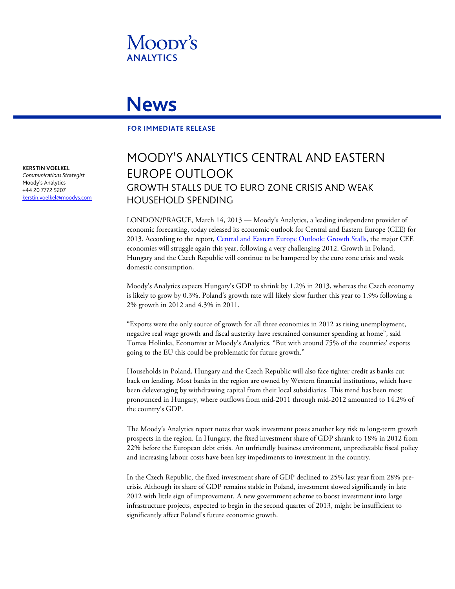

## **News**

## **FOR IMMEDIATE RELEASE**

**KERSTIN VOELKEL**

*Communications Strategist* Moody's Analytics +44 20 7772 5207 [kerstin.voelkel@moodys.com](mailto:kerstin.voelkel@moodys.com)

## MOODY'S ANALYTICS CENTRAL AND EASTERN EUROPE OUTLOOK GROWTH STALLS DUE TO EURO ZONE CRISIS AND WEAK HOUSEHOLD SPENDING

LONDON/PRAGUE, March 14, 2013 — Moody's Analytics, a leading independent provider of economic forecasting, today released its economic outlook for Central and Eastern Europe (CEE) for 2013. According to the report[, Central and Eastern Europe Outlook: Growth Stalls,](http://www.economy.com/dismal/pro/article.asp?cid=238262&src=thisweek_asp) the major CEE economies will struggle again this year, following a very challenging 2012. Growth in Poland, Hungary and the Czech Republic will continue to be hampered by the euro zone crisis and weak domestic consumption.

Moody's Analytics expects Hungary's GDP to shrink by 1.2% in 2013, whereas the Czech economy is likely to grow by 0.3%. Poland's growth rate will likely slow further this year to 1.9% following a 2% growth in 2012 and 4.3% in 2011.

"Exports were the only source of growth for all three economies in 2012 as rising unemployment, negative real wage growth and fiscal austerity have restrained consumer spending at home", said Tomas Holinka, Economist at Moody's Analytics. "But with around 75% of the countries' exports going to the EU this could be problematic for future growth."

Households in Poland, Hungary and the Czech Republic will also face tighter credit as banks cut back on lending. Most banks in the region are owned by Western financial institutions, which have been deleveraging by withdrawing capital from their local subsidiaries. This trend has been most pronounced in Hungary, where outflows from mid-2011 through mid-2012 amounted to 14.2% of the country's GDP.

The Moody's Analytics report notes that weak investment poses another key risk to long-term growth prospects in the region. In Hungary, the fixed investment share of GDP shrank to 18% in 2012 from 22% before the European debt crisis. An unfriendly business environment, unpredictable fiscal policy and increasing labour costs have been key impediments to investment in the country.

In the Czech Republic, the fixed investment share of GDP declined to 25% last year from 28% precrisis. Although its share of GDP remains stable in Poland, investment slowed significantly in late 2012 with little sign of improvement. A new government scheme to boost investment into large infrastructure projects, expected to begin in the second quarter of 2013, might be insufficient to significantly affect Poland's future economic growth.